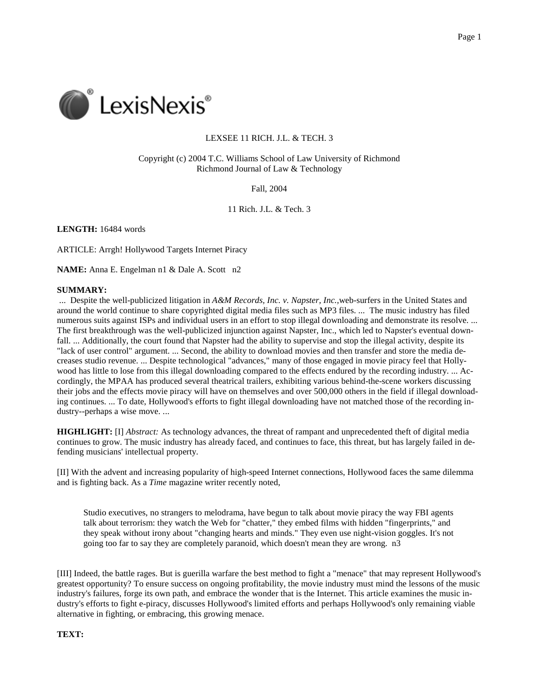

## LEXSEE 11 RICH. J.L. & TECH. 3

 Copyright (c) 2004 T.C. Williams School of Law University of Richmond Richmond Journal of Law & Technology

Fall, 2004

11 Rich. J.L. & Tech. 3

**LENGTH:** 16484 words

ARTICLE: Arrgh! Hollywood Targets Internet Piracy

**NAME:** Anna E. Engelman n1 & Dale A. Scott n2

### **SUMMARY:**

 ... Despite the well-publicized litigation in *A&M Records, Inc. v. Napster, Inc.,*web-surfers in the United States and around the world continue to share copyrighted digital media files such as MP3 files. ... The music industry has filed numerous suits against ISPs and individual users in an effort to stop illegal downloading and demonstrate its resolve. ... The first breakthrough was the well-publicized injunction against Napster, Inc., which led to Napster's eventual down- fall. ... Additionally, the court found that Napster had the ability to supervise and stop the illegal activity, despite its "lack of user control" argument. ... Second, the ability to download movies and then transfer and store the media de- creases studio revenue. ... Despite technological "advances," many of those engaged in movie piracy feel that Holly- wood has little to lose from this illegal downloading compared to the effects endured by the recording industry. ... Ac- cordingly, the MPAA has produced several theatrical trailers, exhibiting various behind-the-scene workers discussing their jobs and the effects movie piracy will have on themselves and over 500,000 others in the field if illegal download- ing continues. ... To date, Hollywood's efforts to fight illegal downloading have not matched those of the recording in-dustry--perhaps a wise move. ...

 **HIGHLIGHT:** [I] *Abstract:* As technology advances, the threat of rampant and unprecedented theft of digital media continues to grow. The music industry has already faced, and continues to face, this threat, but has largely failed in de-fending musicians' intellectual property.

 [II] With the advent and increasing popularity of high-speed Internet connections, Hollywood faces the same dilemma and is fighting back. As a *Time* magazine writer recently noted,

 Studio executives, no strangers to melodrama, have begun to talk about movie piracy the way FBI agents talk about terrorism: they watch the Web for "chatter," they embed films with hidden "fingerprints," and they speak without irony about "changing hearts and minds." They even use night-vision goggles. It's not going too far to say they are completely paranoid, which doesn't mean they are wrong. n3

 [III] Indeed, the battle rages. But is guerilla warfare the best method to fight a "menace" that may represent Hollywood's greatest opportunity? To ensure success on ongoing profitability, the movie industry must mind the lessons of the music industry's failures, forge its own path, and embrace the wonder that is the Internet. This article examines the music in- dustry's efforts to fight e-piracy, discusses Hollywood's limited efforts and perhaps Hollywood's only remaining viable alternative in fighting, or embracing, this growing menace.

**TEXT:**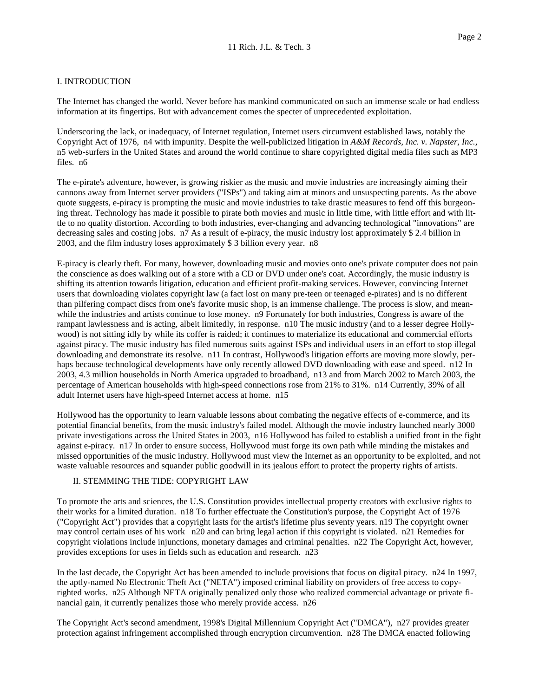## I. INTRODUCTION

 The Internet has changed the world. Never before has mankind communicated on such an immense scale or had endless information at its fingertips. But with advancement comes the specter of unprecedented exploitation.

 Underscoring the lack, or inadequacy, of Internet regulation, Internet users circumvent established laws, notably the Copyright Act of 1976, n4 with impunity. Despite the well-publicized litigation in *A&M Records, Inc. v. Napster, Inc.,*  n5 web-surfers in the United States and around the world continue to share copyrighted digital media files such as MP3 files. n6

 The e-pirate's adventure, however, is growing riskier as the music and movie industries are increasingly aiming their cannons away from Internet server providers ("ISPs") and taking aim at minors and unsuspecting parents. As the above quote suggests, e-piracy is prompting the music and movie industries to take drastic measures to fend off this burgeon- ing threat. Technology has made it possible to pirate both movies and music in little time, with little effort and with lit- tle to no quality distortion. According to both industries, ever-changing and advancing technological "innovations" are decreasing sales and costing jobs. n7 As a result of e-piracy, the music industry lost approximately \$ 2.4 billion in 2003, and the film industry loses approximately \$ 3 billion every year. n8

 E-piracy is clearly theft. For many, however, downloading music and movies onto one's private computer does not pain the conscience as does walking out of a store with a CD or DVD under one's coat. Accordingly, the music industry is shifting its attention towards litigation, education and efficient profit-making services. However, convincing Internet users that downloading violates copyright law (a fact lost on many pre-teen or teenaged e-pirates) and is no different than pilfering compact discs from one's favorite music shop, is an immense challenge. The process is slow, and mean- while the industries and artists continue to lose money. n9 Fortunately for both industries, Congress is aware of the rampant lawlessness and is acting, albeit limitedly, in response. n10 The music industry (and to a lesser degree Holly- wood) is not sitting idly by while its coffer is raided; it continues to materialize its educational and commercial efforts against piracy. The music industry has filed numerous suits against ISPs and individual users in an effort to stop illegal downloading and demonstrate its resolve. n11 In contrast, Hollywood's litigation efforts are moving more slowly, per- haps because technological developments have only recently allowed DVD downloading with ease and speed. n12 In 2003, 4.3 million households in North America upgraded to broadband, n13 and from March 2002 to March 2003, the percentage of American households with high-speed connections rose from 21% to 31%. n14 Currently, 39% of all adult Internet users have high-speed Internet access at home. n15

 Hollywood has the opportunity to learn valuable lessons about combating the negative effects of e-commerce, and its potential financial benefits, from the music industry's failed model. Although the movie industry launched nearly 3000 private investigations across the United States in 2003, n16 Hollywood has failed to establish a unified front in the fight against e-piracy. n17 In order to ensure success, Hollywood must forge its own path while minding the mistakes and missed opportunities of the music industry. Hollywood must view the Internet as an opportunity to be exploited, and not waste valuable resources and squander public goodwill in its jealous effort to protect the property rights of artists.

## II. STEMMING THE TIDE: COPYRIGHT LAW

 To promote the arts and sciences, the U.S. Constitution provides intellectual property creators with exclusive rights to their works for a limited duration. n18 To further effectuate the Constitution's purpose, the Copyright Act of 1976 ("Copyright Act") provides that a copyright lasts for the artist's lifetime plus seventy years. n19 The copyright owner may control certain uses of his work n20 and can bring legal action if this copyright is violated. n21 Remedies for copyright violations include injunctions, monetary damages and criminal penalties. n22 The Copyright Act, however, provides exceptions for uses in fields such as education and research. n23

 In the last decade, the Copyright Act has been amended to include provisions that focus on digital piracy. n24 In 1997, the aptly-named No Electronic Theft Act ("NETA") imposed criminal liability on providers of free access to copy- righted works. n25 Although NETA originally penalized only those who realized commercial advantage or private fi-nancial gain, it currently penalizes those who merely provide access. n26

 The Copyright Act's second amendment, 1998's Digital Millennium Copyright Act ("DMCA"), n27 provides greater protection against infringement accomplished through encryption circumvention. n28 The DMCA enacted following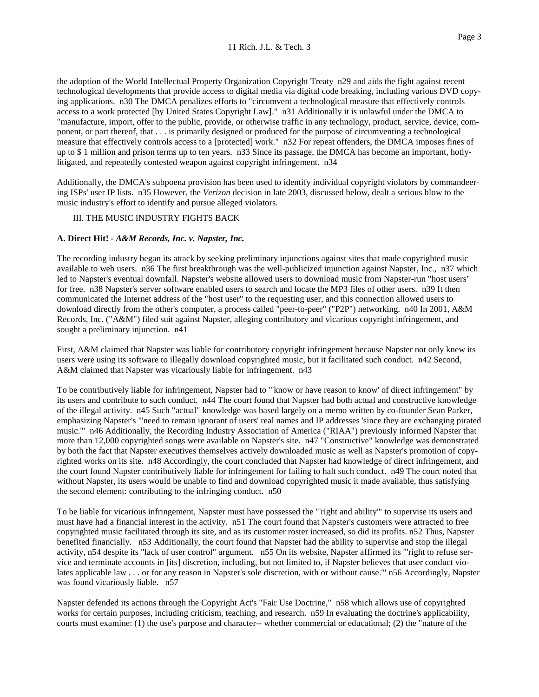the adoption of the World Intellectual Property Organization Copyright Treaty n29 and aids the fight against recent technological developments that provide access to digital media via digital code breaking, including various DVD copy- ing applications. n30 The DMCA penalizes efforts to "circumvent a technological measure that effectively controls access to a work protected [by United States Copyright Law]." n31 Additionally it is unlawful under the DMCA to "manufacture, import, offer to the public, provide, or otherwise traffic in any technology, product, service, device, com- ponent, or part thereof, that . . . is primarily designed or produced for the purpose of circumventing a technological measure that effectively controls access to a [protected] work." n32 For repeat offenders, the DMCA imposes fines of up to \$ 1 million and prison terms up to ten years. n33 Since its passage, the DMCA has become an important, hotly-litigated, and repeatedly contested weapon against copyright infringement. n34

 Additionally, the DMCA's subpoena provision has been used to identify individual copyright violators by commandeer- ing ISPs' user IP lists. n35 However, the *Verizon* decision in late 2003, discussed below, dealt a serious blow to the music industry's effort to identify and pursue alleged violators.

### III. THE MUSIC INDUSTRY FIGHTS BACK

### **A. Direct Hit! -** *A&M Records, Inc. v. Napster, Inc.*

 The recording industry began its attack by seeking preliminary injunctions against sites that made copyrighted music available to web users. n36 The first breakthrough was the well-publicized injunction against Napster, Inc., n37 which led to Napster's eventual downfall. Napster's website allowed users to download music from Napster-run "host users" for free. n38 Napster's server software enabled users to search and locate the MP3 files of other users. n39 It then communicated the Internet address of the "host user" to the requesting user, and this connection allowed users to download directly from the other's computer, a process called "peer-to-peer" ("P2P") networking. n40 In 2001, A&M Records, Inc. ("A&M") filed suit against Napster, alleging contributory and vicarious copyright infringement, and sought a preliminary injunction. n41

 First, A&M claimed that Napster was liable for contributory copyright infringement because Napster not only knew its users were using its software to illegally download copyrighted music, but it facilitated such conduct. n42 Second, A&M claimed that Napster was vicariously liable for infringement. n43

 To be contributively liable for infringement, Napster had to "'know or have reason to know' of direct infringement" by its users and contribute to such conduct. n44 The court found that Napster had both actual and constructive knowledge of the illegal activity. n45 Such "actual" knowledge was based largely on a memo written by co-founder Sean Parker, emphasizing Napster's "'need to remain ignorant of users' real names and IP addresses 'since they are exchanging pirated music.'" n46 Additionally, the Recording Industry Association of America ("RIAA") previously informed Napster that more than 12,000 copyrighted songs were available on Napster's site. n47 "Constructive" knowledge was demonstrated by both the fact that Napster executives themselves actively downloaded music as well as Napster's promotion of copy- righted works on its site. n48 Accordingly, the court concluded that Napster had knowledge of direct infringement, and the court found Napster contributively liable for infringement for failing to halt such conduct. n49 The court noted that without Napster, its users would be unable to find and download copyrighted music it made available, thus satisfying the second element: contributing to the infringing conduct. n50

 To be liable for vicarious infringement, Napster must have possessed the "'right and ability'" to supervise its users and must have had a financial interest in the activity. n51 The court found that Napster's customers were attracted to free copyrighted music facilitated through its site, and as its customer roster increased, so did its profits. n52 Thus, Napster benefited financially. n53 Additionally, the court found that Napster had the ability to supervise and stop the illegal activity, n54 despite its "lack of user control" argument. n55 On its website, Napster affirmed its "'right to refuse ser- vice and terminate accounts in [its] discretion, including, but not limited to, if Napster believes that user conduct vio- lates applicable law . . . or for any reason in Napster's sole discretion, with or without cause.'" n56 Accordingly, Napster was found vicariously liable. n57

 Napster defended its actions through the Copyright Act's "Fair Use Doctrine," n58 which allows use of copyrighted works for certain purposes, including criticism, teaching, and research. n59 In evaluating the doctrine's applicability, courts must examine: (1) the use's purpose and character-- whether commercial or educational; (2) the "nature of the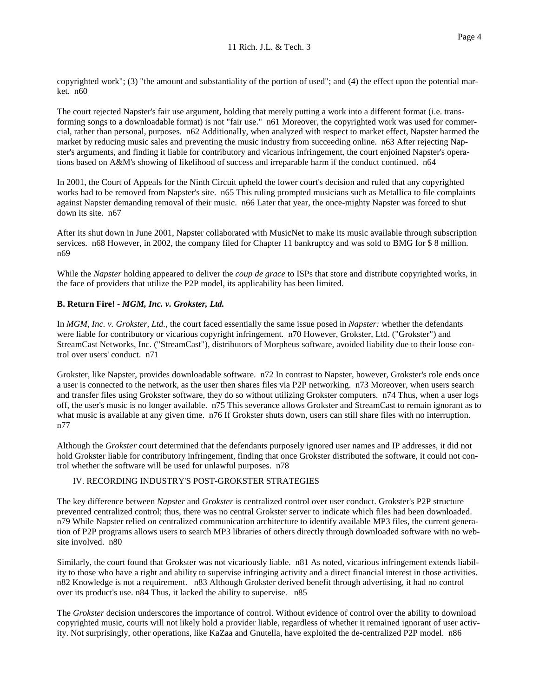copyrighted work"; (3) "the amount and substantiality of the portion of used"; and (4) the effect upon the potential mar-ket. n60

 The court rejected Napster's fair use argument, holding that merely putting a work into a different format (i.e. trans- forming songs to a downloadable format) is not "fair use." n61 Moreover, the copyrighted work was used for commer- cial, rather than personal, purposes. n62 Additionally, when analyzed with respect to market effect, Napster harmed the market by reducing music sales and preventing the music industry from succeeding online. n63 After rejecting Nap- ster's arguments, and finding it liable for contributory and vicarious infringement, the court enjoined Napster's opera-tions based on A&M's showing of likelihood of success and irreparable harm if the conduct continued. n64

 In 2001, the Court of Appeals for the Ninth Circuit upheld the lower court's decision and ruled that any copyrighted works had to be removed from Napster's site. n65 This ruling prompted musicians such as Metallica to file complaints against Napster demanding removal of their music. n66 Later that year, the once-mighty Napster was forced to shut down its site. n67

 After its shut down in June 2001, Napster collaborated with MusicNet to make its music available through subscription services. n68 However, in 2002, the company filed for Chapter 11 bankruptcy and was sold to BMG for \$ 8 million. n69

 While the *Napster* holding appeared to deliver the *coup de grace* to ISPs that store and distribute copyrighted works, in the face of providers that utilize the P2P model, its applicability has been limited.

## **B. Return Fire! -** *MGM, Inc. v. Grokster, Ltd.*

 In *MGM, Inc. v. Grokster, Ltd.,* the court faced essentially the same issue posed in *Napster:* whether the defendants were liable for contributory or vicarious copyright infringement. n70 However, Grokster, Ltd. ("Grokster") and StreamCast Networks, Inc. ("StreamCast"), distributors of Morpheus software, avoided liability due to their loose con-trol over users' conduct. n71

 Grokster, like Napster, provides downloadable software. n72 In contrast to Napster, however, Grokster's role ends once a user is connected to the network, as the user then shares files via P2P networking. n73 Moreover, when users search and transfer files using Grokster software, they do so without utilizing Grokster computers. n74 Thus, when a user logs off, the user's music is no longer available. n75 This severance allows Grokster and StreamCast to remain ignorant as to what music is available at any given time. n76 If Grokster shuts down, users can still share files with no interruption. n77

 Although the *Grokster* court determined that the defendants purposely ignored user names and IP addresses, it did not hold Grokster liable for contributory infringement, finding that once Grokster distributed the software, it could not con-trol whether the software will be used for unlawful purposes. n78

#### IV. RECORDING INDUSTRY'S POST-GROKSTER STRATEGIES

 The key difference between *Napster* and *Grokster* is centralized control over user conduct. Grokster's P2P structure prevented centralized control; thus, there was no central Grokster server to indicate which files had been downloaded. n79 While Napster relied on centralized communication architecture to identify available MP3 files, the current genera- tion of P2P programs allows users to search MP3 libraries of others directly through downloaded software with no web-site involved. n80

 Similarly, the court found that Grokster was not vicariously liable. n81 As noted, vicarious infringement extends liabil- ity to those who have a right and ability to supervise infringing activity and a direct financial interest in those activities. n82 Knowledge is not a requirement. n83 Although Grokster derived benefit through advertising, it had no control over its product's use. n84 Thus, it lacked the ability to supervise. n85

The *Grokster* decision underscores the importance of control. Without evidence of control over the ability to download copyrighted music, courts will not likely hold a provider liable, regardless of whether it remained ignorant of user activ-ity. Not surprisingly, other operations, like KaZaa and Gnutella, have exploited the de-centralized P2P model. n86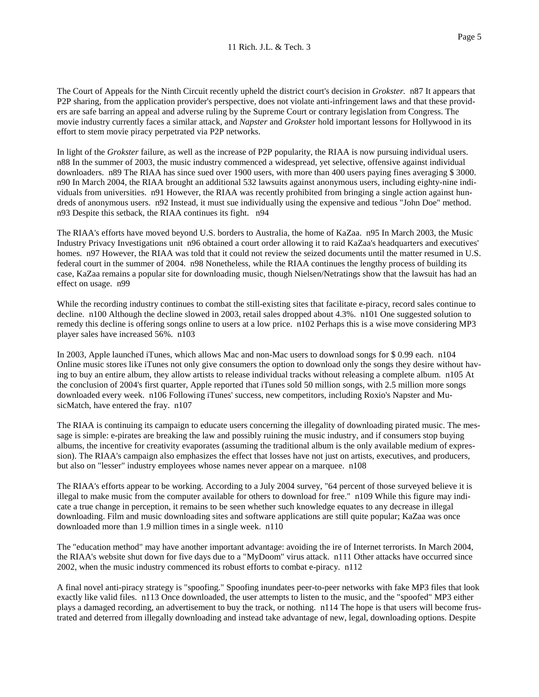The Court of Appeals for the Ninth Circuit recently upheld the district court's decision in *Grokster.* n87 It appears that P2P sharing, from the application provider's perspective, does not violate anti-infringement laws and that these provid- ers are safe barring an appeal and adverse ruling by the Supreme Court or contrary legislation from Congress. The movie industry currently faces a similar attack, and *Napster* and *Grokster* hold important lessons for Hollywood in its effort to stem movie piracy perpetrated via P2P networks.

 In light of the *Grokster* failure, as well as the increase of P2P popularity, the RIAA is now pursuing individual users. n88 In the summer of 2003, the music industry commenced a widespread, yet selective, offensive against individual downloaders. n89 The RIAA has since sued over 1900 users, with more than 400 users paying fines averaging \$ 3000. n90 In March 2004, the RIAA brought an additional 532 lawsuits against anonymous users, including eighty-nine indi- viduals from universities. n91 However, the RIAA was recently prohibited from bringing a single action against hun- dreds of anonymous users. n92 Instead, it must sue individually using the expensive and tedious "John Doe" method. n93 Despite this setback, the RIAA continues its fight. n94

 The RIAA's efforts have moved beyond U.S. borders to Australia, the home of KaZaa. n95 In March 2003, the Music Industry Privacy Investigations unit n96 obtained a court order allowing it to raid KaZaa's headquarters and executives' homes. n97 However, the RIAA was told that it could not review the seized documents until the matter resumed in U.S. federal court in the summer of 2004. n98 Nonetheless, while the RIAA continues the lengthy process of building its case, KaZaa remains a popular site for downloading music, though Nielsen/Netratings show that the lawsuit has had an effect on usage. n99

 While the recording industry continues to combat the still-existing sites that facilitate e-piracy, record sales continue to decline. n100 Although the decline slowed in 2003, retail sales dropped about 4.3%. n101 One suggested solution to remedy this decline is offering songs online to users at a low price. n102 Perhaps this is a wise move considering MP3 player sales have increased 56%. n103

 In 2003, Apple launched iTunes, which allows Mac and non-Mac users to download songs for \$ 0.99 each. n104 Online music stores like iTunes not only give consumers the option to download only the songs they desire without hav- ing to buy an entire album, they allow artists to release individual tracks without releasing a complete album. n105 At the conclusion of 2004's first quarter, Apple reported that iTunes sold 50 million songs, with 2.5 million more songs downloaded every week. n106 Following iTunes' success, new competitors, including Roxio's Napster and Mu-sicMatch, have entered the fray. n107

 The RIAA is continuing its campaign to educate users concerning the illegality of downloading pirated music. The mes- sage is simple: e-pirates are breaking the law and possibly ruining the music industry, and if consumers stop buying albums, the incentive for creativity evaporates (assuming the traditional album is the only available medium of expres- sion). The RIAA's campaign also emphasizes the effect that losses have not just on artists, executives, and producers, but also on "lesser" industry employees whose names never appear on a marquee. n108

 The RIAA's efforts appear to be working. According to a July 2004 survey, "64 percent of those surveyed believe it is illegal to make music from the computer available for others to download for free." n109 While this figure may indi- cate a true change in perception, it remains to be seen whether such knowledge equates to any decrease in illegal downloading. Film and music downloading sites and software applications are still quite popular; KaZaa was once downloaded more than 1.9 million times in a single week. n110

 The "education method" may have another important advantage: avoiding the ire of Internet terrorists. In March 2004, the RIAA's website shut down for five days due to a "MyDoom" virus attack. n111 Other attacks have occurred since 2002, when the music industry commenced its robust efforts to combat e-piracy. n112

 A final novel anti-piracy strategy is "spoofing." Spoofing inundates peer-to-peer networks with fake MP3 files that look exactly like valid files. n113 Once downloaded, the user attempts to listen to the music, and the "spoofed" MP3 either plays a damaged recording, an advertisement to buy the track, or nothing. n114 The hope is that users will become frus-trated and deterred from illegally downloading and instead take advantage of new, legal, downloading options. Despite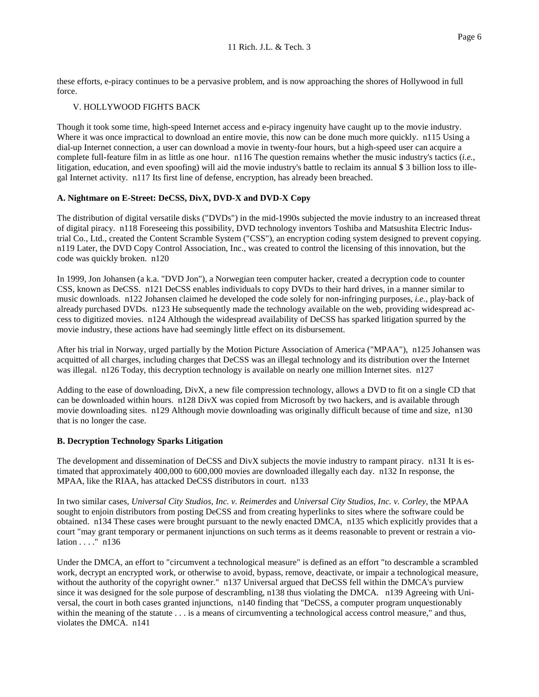these efforts, e-piracy continues to be a pervasive problem, and is now approaching the shores of Hollywood in full force.

### V. HOLLYWOOD FIGHTS BACK

 Though it took some time, high-speed Internet access and e-piracy ingenuity have caught up to the movie industry. Where it was once impractical to download an entire movie, this now can be done much more quickly. n115 Using a dial-up Internet connection, a user can download a movie in twenty-four hours, but a high-speed user can acquire a complete full-feature film in as little as one hour. n116 The question remains whether the music industry's tactics (*i.e.,*  litigation, education, and even spoofing) will aid the movie industry's battle to reclaim its annual \$ 3 billion loss to ille-gal Internet activity. n117 Its first line of defense, encryption, has already been breached.

### **A. Nightmare on E-Street: DeCSS, DivX, DVD-X and DVD-X Copy**

 The distribution of digital versatile disks ("DVDs") in the mid-1990s subjected the movie industry to an increased threat of digital piracy. n118 Foreseeing this possibility, DVD technology inventors Toshiba and Matsushita Electric Indus- trial Co., Ltd., created the Content Scramble System ("CSS"), an encryption coding system designed to prevent copying. n119 Later, the DVD Copy Control Association, Inc., was created to control the licensing of this innovation, but the code was quickly broken. n120

 In 1999, Jon Johansen (a k.a. "DVD Jon"), a Norwegian teen computer hacker, created a decryption code to counter CSS, known as DeCSS. n121 DeCSS enables individuals to copy DVDs to their hard drives, in a manner similar to music downloads. n122 Johansen claimed he developed the code solely for non-infringing purposes, *i.e.,* play-back of already purchased DVDs. n123 He subsequently made the technology available on the web, providing widespread ac- cess to digitized movies. n124 Although the widespread availability of DeCSS has sparked litigation spurred by the movie industry, these actions have had seemingly little effect on its disbursement.

 After his trial in Norway, urged partially by the Motion Picture Association of America ("MPAA"), n125 Johansen was acquitted of all charges, including charges that DeCSS was an illegal technology and its distribution over the Internet was illegal. n126 Today, this decryption technology is available on nearly one million Internet sites. n127

 Adding to the ease of downloading, DivX, a new file compression technology, allows a DVD to fit on a single CD that can be downloaded within hours. n128 DivX was copied from Microsoft by two hackers, and is available through movie downloading sites. n129 Although movie downloading was originally difficult because of time and size, n130 that is no longer the case.

#### **B. Decryption Technology Sparks Litigation**

 The development and dissemination of DeCSS and DivX subjects the movie industry to rampant piracy. n131 It is es- timated that approximately 400,000 to 600,000 movies are downloaded illegally each day. n132 In response, the MPAA, like the RIAA, has attacked DeCSS distributors in court. n133

 In two similar cases, *Universal City Studios, Inc. v. Reimerdes* and *Universal City Studios, Inc. v. Corley,* the MPAA sought to enjoin distributors from posting DeCSS and from creating hyperlinks to sites where the software could be obtained. n134 These cases were brought pursuant to the newly enacted DMCA, n135 which explicitly provides that a court "may grant temporary or permanent injunctions on such terms as it deems reasonable to prevent or restrain a vio-lation . . . ." n136

 Under the DMCA, an effort to "circumvent a technological measure" is defined as an effort "to descramble a scrambled work, decrypt an encrypted work, or otherwise to avoid, bypass, remove, deactivate, or impair a technological measure, without the authority of the copyright owner." n137 Universal argued that DeCSS fell within the DMCA's purview since it was designed for the sole purpose of descrambling, n138 thus violating the DMCA. n139 Agreeing with Uni- versal, the court in both cases granted injunctions, n140 finding that "DeCSS, a computer program unquestionably within the meaning of the statute . . . is a means of circumventing a technological access control measure," and thus, violates the DMCA. n141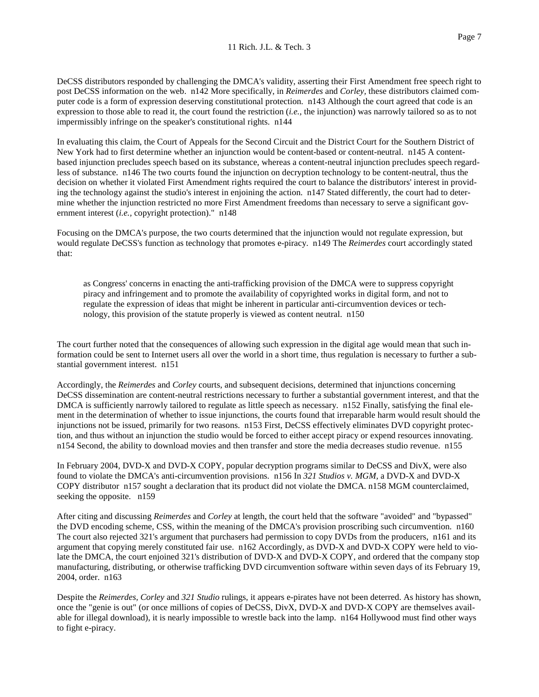DeCSS distributors responded by challenging the DMCA's validity, asserting their First Amendment free speech right to post DeCSS information on the web. n142 More specifically, in *Reimerdes* and *Corley,* these distributors claimed com- puter code is a form of expression deserving constitutional protection. n143 Although the court agreed that code is an expression to those able to read it, the court found the restriction (*i.e.,* the injunction) was narrowly tailored so as to not impermissibly infringe on the speaker's constitutional rights. n144

 In evaluating this claim, the Court of Appeals for the Second Circuit and the District Court for the Southern District of New York had to first determine whether an injunction would be content-based or content-neutral. n145 A content- based injunction precludes speech based on its substance, whereas a content-neutral injunction precludes speech regard- less of substance. n146 The two courts found the injunction on decryption technology to be content-neutral, thus the decision on whether it violated First Amendment rights required the court to balance the distributors' interest in provid- ing the technology against the studio's interest in enjoining the action. n147 Stated differently, the court had to deter- mine whether the injunction restricted no more First Amendment freedoms than necessary to serve a significant gov-ernment interest (*i.e.,* copyright protection)." n148

 Focusing on the DMCA's purpose, the two courts determined that the injunction would not regulate expression, but would regulate DeCSS's function as technology that promotes e-piracy. n149 The *Reimerdes* court accordingly stated that:

 as Congress' concerns in enacting the anti-trafficking provision of the DMCA were to suppress copyright piracy and infringement and to promote the availability of copyrighted works in digital form, and not to regulate the expression of ideas that might be inherent in particular anti-circumvention devices or tech-nology, this provision of the statute properly is viewed as content neutral. n150

 The court further noted that the consequences of allowing such expression in the digital age would mean that such in- formation could be sent to Internet users all over the world in a short time, thus regulation is necessary to further a sub-stantial government interest. n151

 Accordingly, the *Reimerdes* and *Corley* courts, and subsequent decisions, determined that injunctions concerning DeCSS dissemination are content-neutral restrictions necessary to further a substantial government interest, and that the DMCA is sufficiently narrowly tailored to regulate as little speech as necessary. n152 Finally, satisfying the final ele- ment in the determination of whether to issue injunctions, the courts found that irreparable harm would result should the injunctions not be issued, primarily for two reasons. n153 First, DeCSS effectively eliminates DVD copyright protec- tion, and thus without an injunction the studio would be forced to either accept piracy or expend resources innovating. n154 Second, the ability to download movies and then transfer and store the media decreases studio revenue. n155

 In February 2004, DVD-X and DVD-X COPY, popular decryption programs similar to DeCSS and DivX, were also found to violate the DMCA's anti-circumvention provisions. n156 In *321 Studios v. MGM,* a DVD-X and DVD-X COPY distributor n157 sought a declaration that its product did not violate the DMCA. n158 MGM counterclaimed, seeking the opposite. n159

 After citing and discussing *Reimerdes* and *Corley* at length, the court held that the software "avoided" and "bypassed" the DVD encoding scheme, CSS, within the meaning of the DMCA's provision proscribing such circumvention. n160 The court also rejected 321's argument that purchasers had permission to copy DVDs from the producers, n161 and its argument that copying merely constituted fair use. n162 Accordingly, as DVD-X and DVD-X COPY were held to vio- late the DMCA, the court enjoined 321's distribution of DVD-X and DVD-X COPY, and ordered that the company stop manufacturing, distributing, or otherwise trafficking DVD circumvention software within seven days of its February 19, 2004, order. n163

 Despite the *Reimerdes, Corley* and *321 Studio* rulings, it appears e-pirates have not been deterred. As history has shown, once the "genie is out" (or once millions of copies of DeCSS, DivX, DVD-X and DVD-X COPY are themselves avail- able for illegal download), it is nearly impossible to wrestle back into the lamp. n164 Hollywood must find other ways to fight e-piracy.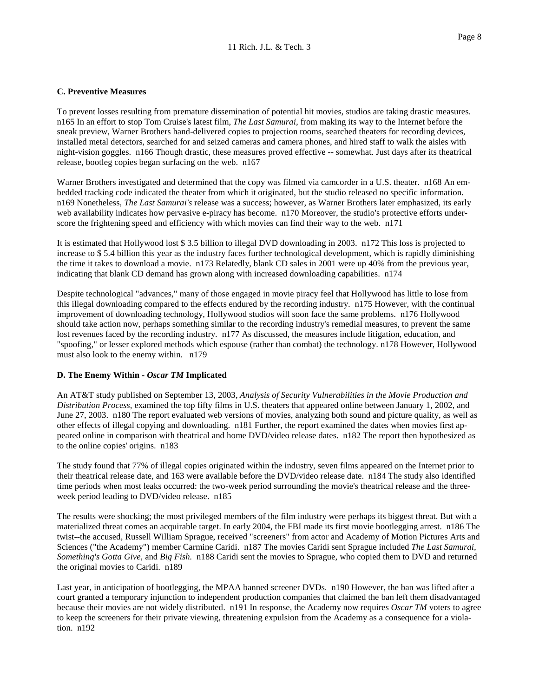# **C. Preventive Measures**

 To prevent losses resulting from premature dissemination of potential hit movies, studios are taking drastic measures. n165 In an effort to stop Tom Cruise's latest film, *The Last Samurai,* from making its way to the Internet before the sneak preview, Warner Brothers hand-delivered copies to projection rooms, searched theaters for recording devices, installed metal detectors, searched for and seized cameras and camera phones, and hired staff to walk the aisles with night-vision goggles. n166 Though drastic, these measures proved effective -- somewhat. Just days after its theatrical release, bootleg copies began surfacing on the web. n167

 Warner Brothers investigated and determined that the copy was filmed via camcorder in a U.S. theater. n168 An em- bedded tracking code indicated the theater from which it originated, but the studio released no specific information.  n169 Nonetheless, *The Last Samurai's* release was a success; however, as Warner Brothers later emphasized, its early web availability indicates how pervasive e-piracy has become. n170 Moreover, the studio's protective efforts under-score the frightening speed and efficiency with which movies can find their way to the web. n171

 It is estimated that Hollywood lost \$ 3.5 billion to illegal DVD downloading in 2003. n172 This loss is projected to increase to \$ 5.4 billion this year as the industry faces further technological development, which is rapidly diminishing the time it takes to download a movie. n173 Relatedly, blank CD sales in 2001 were up 40% from the previous year, indicating that blank CD demand has grown along with increased downloading capabilities. n174

 Despite technological "advances," many of those engaged in movie piracy feel that Hollywood has little to lose from this illegal downloading compared to the effects endured by the recording industry. n175 However, with the continual improvement of downloading technology, Hollywood studios will soon face the same problems. n176 Hollywood should take action now, perhaps something similar to the recording industry's remedial measures, to prevent the same lost revenues faced by the recording industry. n177 As discussed, the measures include litigation, education, and "spoofing," or lesser explored methods which espouse (rather than combat) the technology. n178 However, Hollywood must also look to the enemy within. n179

## **D. The Enemy Within -** *Oscar TM* **Implicated**

 An AT&T study published on September 13, 2003, *Analysis of Security Vulnerabilities in the Movie Production and Distribution Process,* examined the top fifty films in U.S. theaters that appeared online between January 1, 2002, and June 27, 2003. n180 The report evaluated web versions of movies, analyzing both sound and picture quality, as well as other effects of illegal copying and downloading. n181 Further, the report examined the dates when movies first ap- peared online in comparison with theatrical and home DVD/video release dates. n182 The report then hypothesized as to the online copies' origins. n183

 The study found that 77% of illegal copies originated within the industry, seven films appeared on the Internet prior to their theatrical release date, and 163 were available before the DVD/video release date. n184 The study also identified time periods when most leaks occurred: the two-week period surrounding the movie's theatrical release and the three-week period leading to DVD/video release. n185

 materialized threat comes an acquirable target. In early 2004, the FBI made its first movie bootlegging arrest. n186 The twist--the accused, Russell William Sprague, received "screeners" from actor and Academy of Motion Pictures Arts and Sciences ("the Academy") member Carmine Caridi. n187 The movies Caridi sent Sprague included *The Last Samurai, Something's Gotta Give,* and *Big Fish.* n188 Caridi sent the movies to Sprague, who copied them to DVD and returned the original movies to Caridi. n189 The results were shocking; the most privileged members of the film industry were perhaps its biggest threat. But with a

 Last year, in anticipation of bootlegging, the MPAA banned screener DVDs. n190 However, the ban was lifted after a court granted a temporary injunction to independent production companies that claimed the ban left them disadvantaged because their movies are not widely distributed. n191 In response, the Academy now requires *Oscar TM* voters to agree to keep the screeners for their private viewing, threatening expulsion from the Academy as a consequence for a viola-tion. n192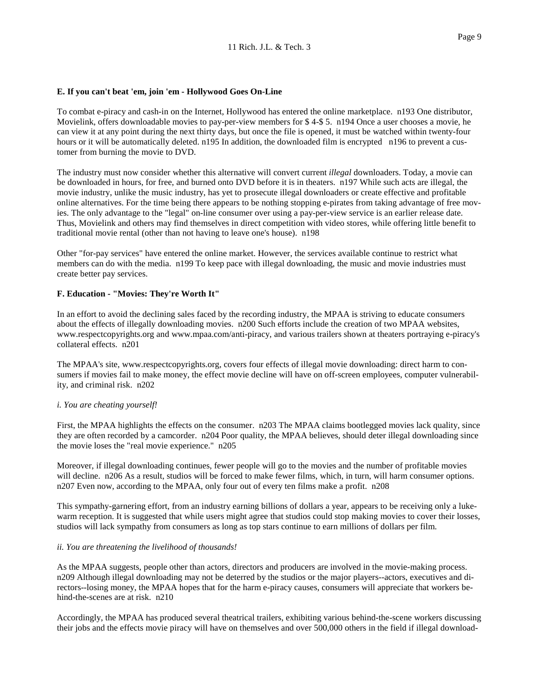### **E. If you can't beat 'em, join 'em - Hollywood Goes On-Line**

 To combat e-piracy and cash-in on the Internet, Hollywood has entered the online marketplace. n193 One distributor, Movielink, offers downloadable movies to pay-per-view members for \$ 4-\$ 5. n194 Once a user chooses a movie, he can view it at any point during the next thirty days, but once the file is opened, it must be watched within twenty-four hours or it will be automatically deleted. n195 In addition, the downloaded film is encrypted n196 to prevent a cus-tomer from burning the movie to DVD.

 The industry must now consider whether this alternative will convert current *illegal* downloaders. Today, a movie can be downloaded in hours, for free, and burned onto DVD before it is in theaters. n197 While such acts are illegal, the movie industry, unlike the music industry, has yet to prosecute illegal downloaders or create effective and profitable online alternatives. For the time being there appears to be nothing stopping e-pirates from taking advantage of free mov- ies. The only advantage to the "legal" on-line consumer over using a pay-per-view service is an earlier release date. Thus, Movielink and others may find themselves in direct competition with video stores, while offering little benefit to traditional movie rental (other than not having to leave one's house). n198

 Other "for-pay services" have entered the online market. However, the services available continue to restrict what members can do with the media. n199 To keep pace with illegal downloading, the music and movie industries must create better pay services.

### **F. Education - "Movies: They're Worth It"**

 In an effort to avoid the declining sales faced by the recording industry, the MPAA is striving to educate consumers about the effects of illegally downloading movies. n200 Such efforts include the creation of two MPAA websites, www.respectcopyrights.org and www.mpaa.com/anti-piracy, and various trailers shown at theaters portraying e-piracy's collateral effects. n201

 The MPAA's site, www.respectcopyrights.org, covers four effects of illegal movie downloading: direct harm to con- sumers if movies fail to make money, the effect movie decline will have on off-screen employees, computer vulnerabil-ity, and criminal risk. n202

## *i. You are cheating yourself!*

 First, the MPAA highlights the effects on the consumer. n203 The MPAA claims bootlegged movies lack quality, since they are often recorded by a camcorder. n204 Poor quality, the MPAA believes, should deter illegal downloading since the movie loses the "real movie experience." n205

 Moreover, if illegal downloading continues, fewer people will go to the movies and the number of profitable movies will decline. n206 As a result, studios will be forced to make fewer films, which, in turn, will harm consumer options. n207 Even now, according to the MPAA, only four out of every ten films make a profit. n208

 This sympathy-garnering effort, from an industry earning billions of dollars a year, appears to be receiving only a luke- warm reception. It is suggested that while users might agree that studios could stop making movies to cover their losses, studios will lack sympathy from consumers as long as top stars continue to earn millions of dollars per film.

## *ii. You are threatening the livelihood of thousands!*

 As the MPAA suggests, people other than actors, directors and producers are involved in the movie-making process. n209 Although illegal downloading may not be deterred by the studios or the major players--actors, executives and di- rectors--losing money, the MPAA hopes that for the harm e-piracy causes, consumers will appreciate that workers be-hind-the-scenes are at risk. n210

 Accordingly, the MPAA has produced several theatrical trailers, exhibiting various behind-the-scene workers discussing their jobs and the effects movie piracy will have on themselves and over 500,000 others in the field if illegal download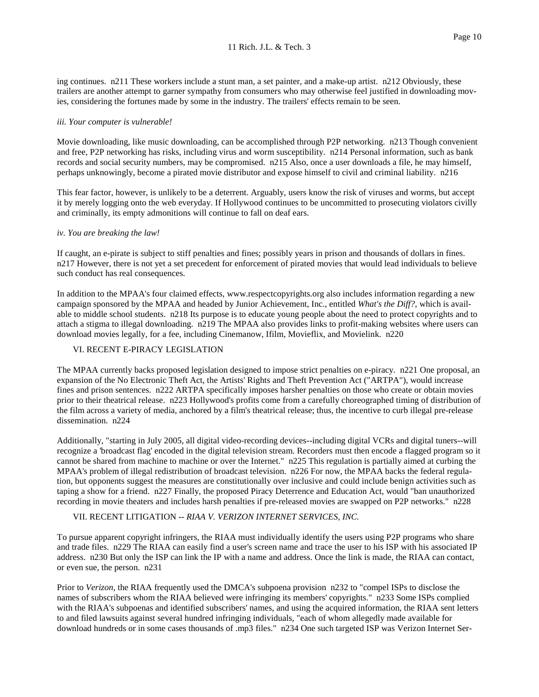ing continues. n211 These workers include a stunt man, a set painter, and a make-up artist. n212 Obviously, these trailers are another attempt to garner sympathy from consumers who may otherwise feel justified in downloading mov-ies, considering the fortunes made by some in the industry. The trailers' effects remain to be seen.

### *iii. Your computer is vulnerable!*

 Movie downloading, like music downloading, can be accomplished through P2P networking. n213 Though convenient and free, P2P networking has risks, including virus and worm susceptibility. n214 Personal information, such as bank records and social security numbers, may be compromised. n215 Also, once a user downloads a file, he may himself, perhaps unknowingly, become a pirated movie distributor and expose himself to civil and criminal liability. n216

 This fear factor, however, is unlikely to be a deterrent. Arguably, users know the risk of viruses and worms, but accept it by merely logging onto the web everyday. If Hollywood continues to be uncommitted to prosecuting violators civilly and criminally, its empty admonitions will continue to fall on deaf ears.

### *iv. You are breaking the law!*

 If caught, an e-pirate is subject to stiff penalties and fines; possibly years in prison and thousands of dollars in fines. n217 However, there is not yet a set precedent for enforcement of pirated movies that would lead individuals to believe such conduct has real consequences.

 In addition to the MPAA's four claimed effects, www.respectcopyrights.org also includes information regarding a new campaign sponsored by the MPAA and headed by Junior Achievement, Inc., entitled *What's the Diff?,* which is avail- able to middle school students. n218 Its purpose is to educate young people about the need to protect copyrights and to attach a stigma to illegal downloading. n219 The MPAA also provides links to profit-making websites where users can download movies legally, for a fee, including Cinemanow, Ifilm, Movieflix, and Movielink. n220

#### VI. RECENT E-PIRACY LEGISLATION

 The MPAA currently backs proposed legislation designed to impose strict penalties on e-piracy. n221 One proposal, an expansion of the No Electronic Theft Act, the Artists' Rights and Theft Prevention Act ("ARTPA"), would increase fines and prison sentences. n222 ARTPA specifically imposes harsher penalties on those who create or obtain movies prior to their theatrical release. n223 Hollywood's profits come from a carefully choreographed timing of distribution of the film across a variety of media, anchored by a film's theatrical release; thus, the incentive to curb illegal pre-release dissemination. n224

 Additionally, "starting in July 2005, all digital video-recording devices--including digital VCRs and digital tuners--will recognize a 'broadcast flag' encoded in the digital television stream. Recorders must then encode a flagged program so it cannot be shared from machine to machine or over the Internet." n225 This regulation is partially aimed at curbing the MPAA's problem of illegal redistribution of broadcast television. n226 For now, the MPAA backs the federal regula- tion, but opponents suggest the measures are constitutionally over inclusive and could include benign activities such as taping a show for a friend. n227 Finally, the proposed Piracy Deterrence and Education Act, would "ban unauthorized recording in movie theaters and includes harsh penalties if pre-released movies are swapped on P2P networks." n228

### VII. RECENT LITIGATION -- *RIAA V. VERIZON INTERNET SERVICES, INC.*

 To pursue apparent copyright infringers, the RIAA must individually identify the users using P2P programs who share and trade files. n229 The RIAA can easily find a user's screen name and trace the user to his ISP with his associated IP address. n230 But only the ISP can link the IP with a name and address. Once the link is made, the RIAA can contact, or even sue, the person. n231

Prior to *Verizon*, the RIAA frequently used the DMCA's subpoena provision n232 to "compel ISPs to disclose the names of subscribers whom the RIAA believed were infringing its members' copyrights." n233 Some ISPs complied with the RIAA's subpoenas and identified subscribers' names, and using the acquired information, the RIAA sent letters to and filed lawsuits against several hundred infringing individuals, "each of whom allegedly made available for download hundreds or in some cases thousands of .mp3 files." n234 One such targeted ISP was Verizon Internet Ser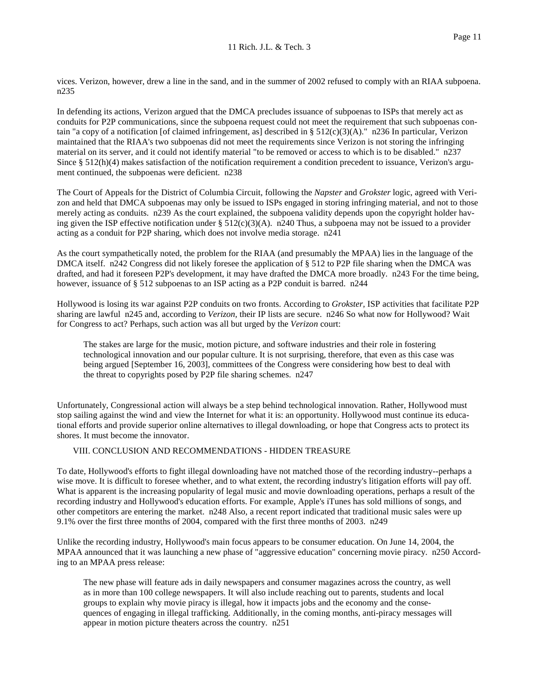vices. Verizon, however, drew a line in the sand, and in the summer of 2002 refused to comply with an RIAA subpoena. n235

 In defending its actions, Verizon argued that the DMCA precludes issuance of subpoenas to ISPs that merely act as conduits for P2P communications, since the subpoena request could not meet the requirement that such subpoenas con- tain "a copy of a notification [of claimed infringement, as] described in § 512(c)(3)(A)." n236 In particular, Verizon maintained that the RIAA's two subpoenas did not meet the requirements since Verizon is not storing the infringing material on its server, and it could not identify material "to be removed or access to which is to be disabled." n237 Since § 512(h)(4) makes satisfaction of the notification requirement a condition precedent to issuance, Verizon's argu-ment continued, the subpoenas were deficient. n238

 The Court of Appeals for the District of Columbia Circuit, following the *Napster* and *Grokster* logic, agreed with Veri- zon and held that DMCA subpoenas may only be issued to ISPs engaged in storing infringing material, and not to those merely acting as conduits. n239 As the court explained, the subpoena validity depends upon the copyright holder having given the ISP effective notification under  $\S 512(c)(3)(A)$ . n240 Thus, a subpoena may not be issued to a provider acting as a conduit for P2P sharing, which does not involve media storage. n241

 As the court sympathetically noted, the problem for the RIAA (and presumably the MPAA) lies in the language of the DMCA itself. n242 Congress did not likely foresee the application of § 512 to P2P file sharing when the DMCA was drafted, and had it foreseen P2P's development, it may have drafted the DMCA more broadly. n243 For the time being, however, issuance of § 512 subpoenas to an ISP acting as a P2P conduit is barred. n244

 Hollywood is losing its war against P2P conduits on two fronts. According to *Grokster,* ISP activities that facilitate P2P sharing are lawful n245 and, according to *Verizon,* their IP lists are secure. n246 So what now for Hollywood? Wait for Congress to act? Perhaps, such action was all but urged by the *Verizon* court:

 The stakes are large for the music, motion picture, and software industries and their role in fostering technological innovation and our popular culture. It is not surprising, therefore, that even as this case was being argued [September 16, 2003], committees of the Congress were considering how best to deal with the threat to copyrights posed by P2P file sharing schemes. n247

 Unfortunately, Congressional action will always be a step behind technological innovation. Rather, Hollywood must stop sailing against the wind and view the Internet for what it is: an opportunity. Hollywood must continue its educa- tional efforts and provide superior online alternatives to illegal downloading, or hope that Congress acts to protect its shores. It must become the innovator.

## VIII. CONCLUSION AND RECOMMENDATIONS - HIDDEN TREASURE

 To date, Hollywood's efforts to fight illegal downloading have not matched those of the recording industry--perhaps a wise move. It is difficult to foresee whether, and to what extent, the recording industry's litigation efforts will pay off. What is apparent is the increasing popularity of legal music and movie downloading operations, perhaps a result of the recording industry and Hollywood's education efforts. For example, Apple's iTunes has sold millions of songs, and other competitors are entering the market. n248 Also, a recent report indicated that traditional music sales were up 9.1% over the first three months of 2004, compared with the first three months of 2003. n249

 Unlike the recording industry, Hollywood's main focus appears to be consumer education. On June 14, 2004, the MPAA announced that it was launching a new phase of "aggressive education" concerning movie piracy. n250 Accord-ing to an MPAA press release:

 The new phase will feature ads in daily newspapers and consumer magazines across the country, as well as in more than 100 college newspapers. It will also include reaching out to parents, students and local groups to explain why movie piracy is illegal, how it impacts jobs and the economy and the conse- quences of engaging in illegal trafficking. Additionally, in the coming months, anti-piracy messages will appear in motion picture theaters across the country. n251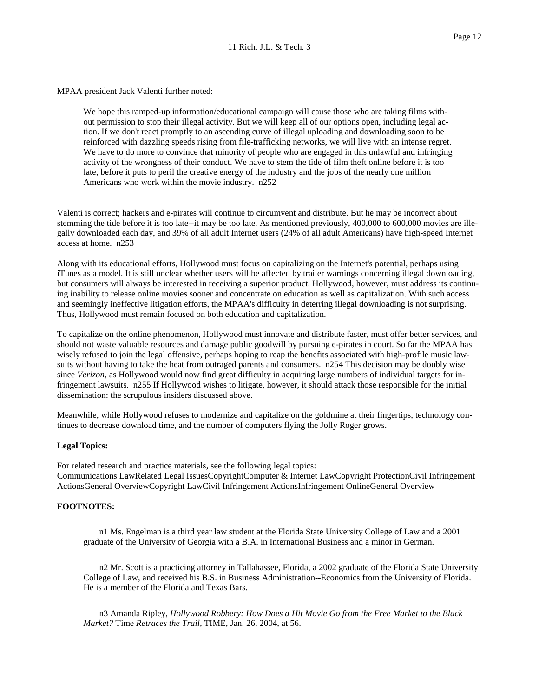MPAA president Jack Valenti further noted:

 We hope this ramped-up information/educational campaign will cause those who are taking films with- out permission to stop their illegal activity. But we will keep all of our options open, including legal ac- tion. If we don't react promptly to an ascending curve of illegal uploading and downloading soon to be reinforced with dazzling speeds rising from file-trafficking networks, we will live with an intense regret. We have to do more to convince that minority of people who are engaged in this unlawful and infringing activity of the wrongness of their conduct. We have to stem the tide of film theft online before it is too late, before it puts to peril the creative energy of the industry and the jobs of the nearly one million Americans who work within the movie industry. n252

 Valenti is correct; hackers and e-pirates will continue to circumvent and distribute. But he may be incorrect about stemming the tide before it is too late--it may be too late. As mentioned previously, 400,000 to 600,000 movies are ille- gally downloaded each day, and 39% of all adult Internet users (24% of all adult Americans) have high-speed Internet access at home. n253

 Along with its educational efforts, Hollywood must focus on capitalizing on the Internet's potential, perhaps using iTunes as a model. It is still unclear whether users will be affected by trailer warnings concerning illegal downloading, but consumers will always be interested in receiving a superior product. Hollywood, however, must address its continu- ing inability to release online movies sooner and concentrate on education as well as capitalization. With such access and seemingly ineffective litigation efforts, the MPAA's difficulty in deterring illegal downloading is not surprising. Thus, Hollywood must remain focused on both education and capitalization.

 To capitalize on the online phenomenon, Hollywood must innovate and distribute faster, must offer better services, and should not waste valuable resources and damage public goodwill by pursuing e-pirates in court. So far the MPAA has wisely refused to join the legal offensive, perhaps hoping to reap the benefits associated with high-profile music law- suits without having to take the heat from outraged parents and consumers. n254 This decision may be doubly wise since *Verizon,* as Hollywood would now find great difficulty in acquiring large numbers of individual targets for in- fringement lawsuits. n255 If Hollywood wishes to litigate, however, it should attack those responsible for the initial dissemination: the scrupulous insiders discussed above.

 Meanwhile, while Hollywood refuses to modernize and capitalize on the goldmine at their fingertips, technology con-tinues to decrease download time, and the number of computers flying the Jolly Roger grows.

#### **Legal Topics:**

 For related research and practice materials, see the following legal topics: Communications LawRelated Legal IssuesCopyrightComputer & Internet LawCopyright ProtectionCivil Infringement ActionsGeneral OverviewCopyright LawCivil Infringement ActionsInfringement OnlineGeneral Overview

#### **FOOTNOTES:**

 n1 Ms. Engelman is a third year law student at the Florida State University College of Law and a 2001 graduate of the University of Georgia with a B.A. in International Business and a minor in German.

 n2 Mr. Scott is a practicing attorney in Tallahassee, Florida, a 2002 graduate of the Florida State University College of Law, and received his B.S. in Business Administration--Economics from the University of Florida. He is a member of the Florida and Texas Bars.

 n3 Amanda Ripley, *Hollywood Robbery: How Does a Hit Movie Go from the Free Market to the Black Market?* Time *Retraces the Trail,* TIME, Jan. 26, 2004, at 56.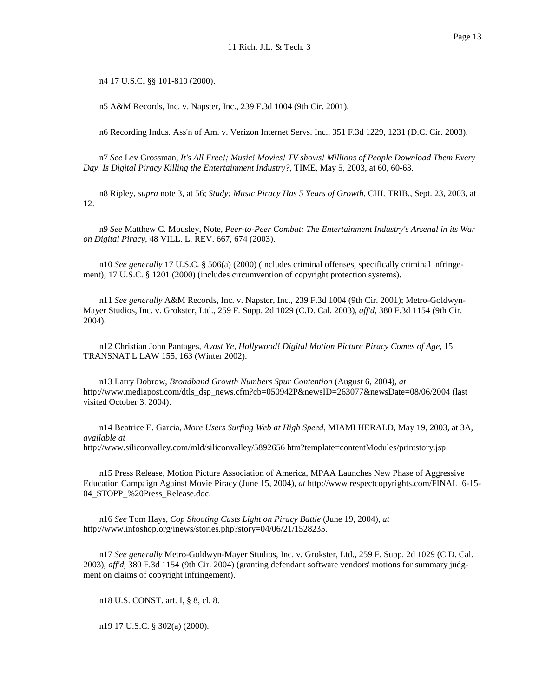n4 17 U.S.C. §§ 101-810 (2000).

n5 A&M Records, Inc. v. Napster, Inc., 239 F.3d 1004 (9th Cir. 2001).

n6 Recording Indus. Ass'n of Am. v. Verizon Internet Servs. Inc., 351 F.3d 1229, 1231 (D.C. Cir. 2003).

 n7 *See* Lev Grossman, *It's All Free!; Music! Movies! TV shows! Millions of People Download Them Every Day. Is Digital Piracy Killing the Entertainment Industry?,* TIME, May 5, 2003, at 60, 60-63.

 n8 Ripley, *supra* note 3, at 56; *Study: Music Piracy Has 5 Years of Growth,* CHI. TRIB., Sept. 23, 2003, at 12.

 n9 *See* Matthew C. Mousley, Note, *Peer-to-Peer Combat: The Entertainment Industry's Arsenal in its War on Digital Piracy,* 48 VILL. L. REV. 667, 674 (2003).

 n10 *See generally* 17 U.S.C. § 506(a) (2000) (includes criminal offenses, specifically criminal infringe-ment); 17 U.S.C. § 1201 (2000) (includes circumvention of copyright protection systems).

 n11 *See generally* A&M Records, Inc. v. Napster, Inc., 239 F.3d 1004 (9th Cir. 2001); Metro-Goldwyn- Mayer Studios, Inc. v. Grokster, Ltd., 259 F. Supp. 2d 1029 (C.D. Cal. 2003), *aff'd,* 380 F.3d 1154 (9th Cir. 2004).

 n12 Christian John Pantages, *Avast Ye, Hollywood! Digital Motion Picture Piracy Comes of Age,* 15 TRANSNAT'L LAW 155, 163 (Winter 2002).

 n13 Larry Dobrow, *Broadband Growth Numbers Spur Contention* (August 6, 2004), *at*  visited October 3, 2004). http://www.mediapost.com/dtls\_dsp\_news.cfm?cb=050942P&newsID=263077&newsDate=08/06/2004 (last

 n14 Beatrice E. Garcia, *More Users Surfing Web at High Speed,* MIAMI HERALD, May 19, 2003, at 3A, *available at*  http://www.siliconvalley.com/mld/siliconvalley/5892656 htm?template=contentModules/printstory.jsp.

 n15 Press Release, Motion Picture Association of America, MPAA Launches New Phase of Aggressive Education Campaign Against Movie Piracy (June 15, 2004), *at* http://www respectcopyrights.com/FINAL\_6-15 04\_STOPP\_%20Press\_Release.doc.

 n16 *See* Tom Hays, *Cop Shooting Casts Light on Piracy Battle* (June 19, 2004), *at*  http://www.infoshop.org/inews/stories.php?story=04/06/21/1528235.

 n17 *See generally* Metro-Goldwyn-Mayer Studios, Inc. v. Grokster, Ltd., 259 F. Supp. 2d 1029 (C.D. Cal. 2003), *aff'd,* 380 F.3d 1154 (9th Cir. 2004) (granting defendant software vendors' motions for summary judg-ment on claims of copyright infringement).

n18 U.S. CONST. art. I, § 8, cl. 8.

n19 17 U.S.C. § 302(a) (2000).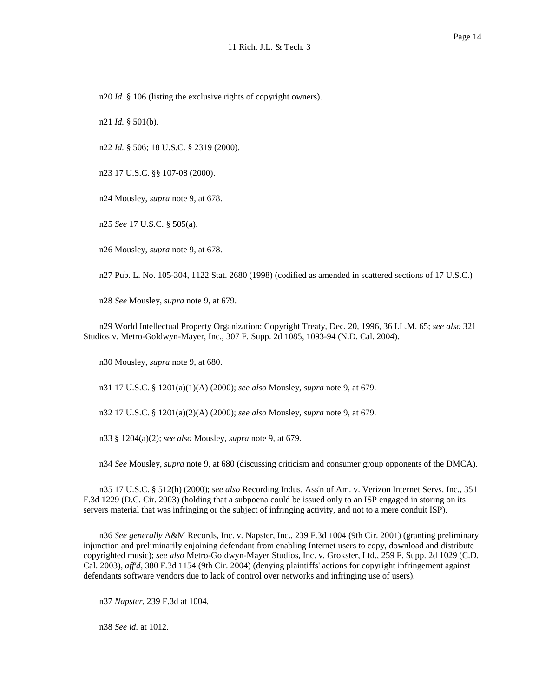n20 *Id.* § 106 (listing the exclusive rights of copyright owners).

n21 *Id.* § 501(b).

n22 *Id.* § 506; 18 U.S.C. § 2319 (2000).

n23 17 U.S.C. §§ 107-08 (2000).

n24 Mousley, *supra* note 9, at 678.

n25 *See* 17 U.S.C. § 505(a).

n26 Mousley, *supra* note 9, at 678.

n27 Pub. L. No. 105-304, 1122 Stat. 2680 (1998) (codified as amended in scattered sections of 17 U.S.C.)

n28 *See* Mousley, *supra* note 9, at 679.

 n29 World Intellectual Property Organization: Copyright Treaty, Dec. 20, 1996, 36 I.L.M. 65; *see also* 321 Studios v. Metro-Goldwyn-Mayer, Inc., 307 F. Supp. 2d 1085, 1093-94 (N.D. Cal. 2004).

n30 Mousley, *supra* note 9, at 680.

n31 17 U.S.C. § 1201(a)(1)(A) (2000); *see also* Mousley, *supra* note 9, at 679.

n32 17 U.S.C. § 1201(a)(2)(A) (2000); *see also* Mousley, *supra* note 9, at 679.

n33 § 1204(a)(2); *see also* Mousley, *supra* note 9, at 679.

n34 *See* Mousley, *supra* note 9, at 680 (discussing criticism and consumer group opponents of the DMCA).

 n35 17 U.S.C. § 512(h) (2000); *see also* Recording Indus. Ass'n of Am. v. Verizon Internet Servs. Inc., 351 F.3d 1229 (D.C. Cir. 2003) (holding that a subpoena could be issued only to an ISP engaged in storing on its servers material that was infringing or the subject of infringing activity, and not to a mere conduit ISP).

 n36 *See generally* A&M Records, Inc. v. Napster, Inc., 239 F.3d 1004 (9th Cir. 2001) (granting preliminary injunction and preliminarily enjoining defendant from enabling Internet users to copy, download and distribute copyrighted music); *see also* Metro-Goldwyn-Mayer Studios, Inc. v. Grokster, Ltd., 259 F. Supp. 2d 1029 (C.D. Cal. 2003), *aff'd,* 380 F.3d 1154 (9th Cir. 2004) (denying plaintiffs' actions for copyright infringement against defendants software vendors due to lack of control over networks and infringing use of users).

n37 *Napster,* 239 F.3d at 1004.

n38 *See id.* at 1012.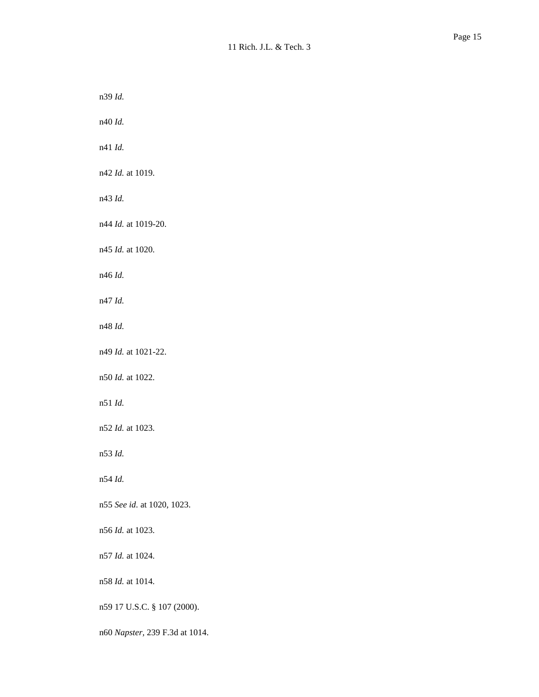n39 *Id.* 

n40 *Id.* 

n41 *Id.* 

n42 *Id.* at 1019.

n43 *Id.* 

n44 *Id.* at 1019-20.

n45 *Id.* at 1020.

n46 *Id.* 

n47 *Id.* 

n48 *Id.* 

n49 *Id.* at 1021-22.

n50 *Id.* at 1022.

n51 *Id.* 

n52 *Id.* at 1023.

n53 *Id.* 

n54 *Id.* 

n55 *See id.* at 1020, 1023.

n56 *Id.* at 1023.

n57 *Id.* at 1024.

n58 *Id.* at 1014.

n59 17 U.S.C. § 107 (2000).

n60 *Napster,* 239 F.3d at 1014.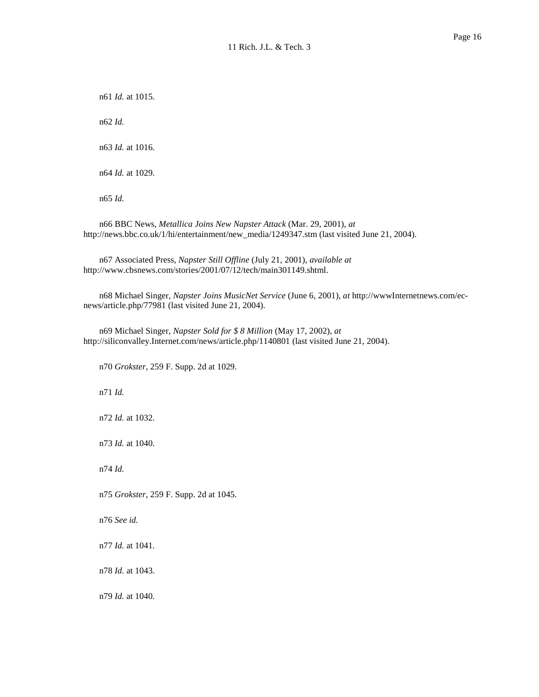n61 *Id.* at 1015. n62 *Id.*  n63 *Id.* at 1016. n64 *Id.* at 1029. n65 *Id.* 

 n66 BBC News, *Metallica Joins New Napster Attack* (Mar. 29, 2001), *at*  http://news.bbc.co.uk/1/hi/entertainment/new\_media/1249347.stm (last visited June 21, 2004).

 n67 Associated Press, *Napster Still Offline* (July 21, 2001), *available at*  http://www.cbsnews.com/stories/2001/07/12/tech/main301149.shtml.

 n68 Michael Singer, *Napster Joins MusicNet Service* (June 6, 2001), *at* http://wwwInternetnews.com/ec-news/article.php/77981 (last visited June 21, 2004).

 n69 Michael Singer, *Napster Sold for \$ 8 Million* (May 17, 2002), *at*  http://siliconvalley.Internet.com/news/article.php/1140801 (last visited June 21, 2004).

n70 *Grokster,* 259 F. Supp. 2d at 1029.

n71 *Id.* 

n72 *Id.* at 1032.

n73 *Id.* at 1040.

n74 *Id.* 

n75 *Grokster,* 259 F. Supp. 2d at 1045.

n76 *See id.* 

n77 *Id.* at 1041.

n78 *Id.* at 1043.

n79 *Id.* at 1040.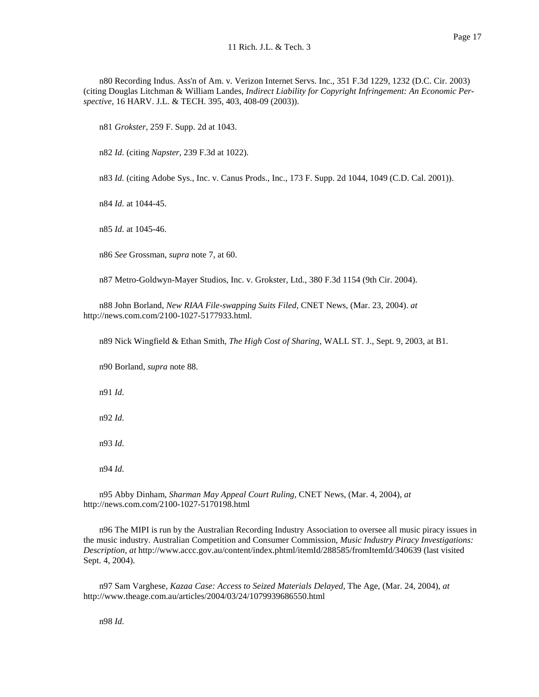n80 Recording Indus. Ass'n of Am. v. Verizon Internet Servs. Inc., 351 F.3d 1229, 1232 (D.C. Cir. 2003) (citing Douglas Litchman & William Landes, *Indirect Liability for Copyright Infringement: An Economic Per-spective,* 16 HARV. J.L. & TECH. 395, 403, 408-09 (2003)).

n81 *Grokster,* 259 F. Supp. 2d at 1043.

n82 *Id.* (citing *Napster,* 239 F.3d at 1022).

n83 *Id.* (citing Adobe Sys., Inc. v. Canus Prods., Inc., 173 F. Supp. 2d 1044, 1049 (C.D. Cal. 2001)).

n84 *Id.* at 1044-45.

n85 *Id.* at 1045-46.

n86 *See* Grossman, *supra* note 7, at 60.

n87 Metro-Goldwyn-Mayer Studios, Inc. v. Grokster, Ltd., 380 F.3d 1154 (9th Cir. 2004).

 n88 John Borland, *New RIAA File-swapping Suits Filed,* CNET News, (Mar. 23, 2004). *at*  http://news.com.com/2100-1027-5177933.html.

n89 Nick Wingfield & Ethan Smith, *The High Cost of Sharing,* WALL ST. J., Sept. 9, 2003, at B1.

n90 Borland, *supra* note 88.

n91 *Id.* 

n92 *Id.* 

n93 *Id.* 

n94 *Id.* 

 n95 Abby Dinham, *Sharman May Appeal Court Ruling,* CNET News, (Mar. 4, 2004), *at*  http://news.com.com/2100-1027-5170198.html

 n96 The MIPI is run by the Australian Recording Industry Association to oversee all music piracy issues in the music industry. Australian Competition and Consumer Commission, *Music Industry Piracy Investigations: Description, at* http://www.accc.gov.au/content/index.phtml/itemId/288585/fromItemId/340639 (last visited Sept. 4, 2004).

 n97 Sam Varghese, *Kazaa Case: Access to Seized Materials Delayed,* The Age, (Mar. 24, 2004), *at*  http://www.theage.com.au/articles/2004/03/24/1079939686550.html

n98 *Id.*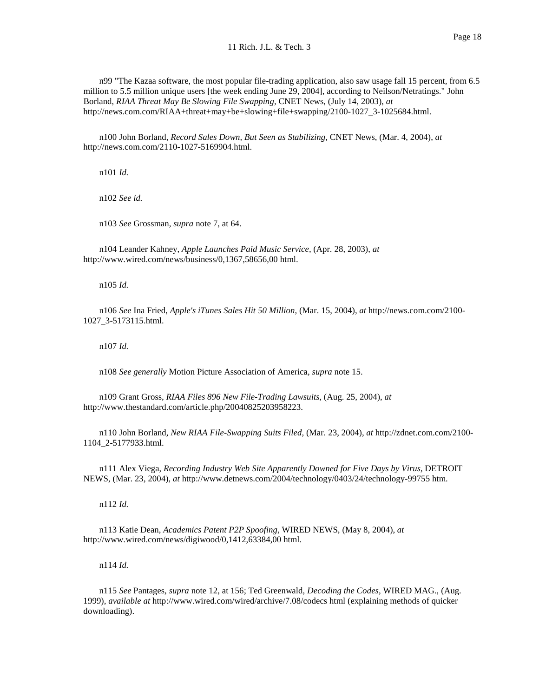n99 "The Kazaa software, the most popular file-trading application, also saw usage fall 15 percent, from 6.5 million to 5.5 million unique users [the week ending June 29, 2004], according to Neilson/Netratings." John  Borland, *RIAA Threat May Be Slowing File Swapping,* CNET News, (July 14, 2003), *at*  http://news.com.com/RIAA+threat+may+be+slowing+file+swapping/2100-1027\_3-1025684.html.

 n100 John Borland, *Record Sales Down, But Seen as Stabilizing,* CNET News, (Mar. 4, 2004), *at*  http://news.com.com/2110-1027-5169904.html.

n101 *Id.* 

n102 *See id.* 

n103 *See* Grossman, *supra* note 7, at 64.

 n104 Leander Kahney, *Apple Launches Paid Music Service,* (Apr. 28, 2003), *at*  http://www.wired.com/news/business/0,1367,58656,00 html.

n105 *Id.* 

 n106 *See* Ina Fried, *Apple's iTunes Sales Hit 50 Million,* (Mar. 15, 2004), *at* http://news.com.com/2100 1027\_3-5173115.html.

n107 *Id.* 

n108 *See generally* Motion Picture Association of America, *supra* note 15.

 n109 Grant Gross, *RIAA Files 896 New File-Trading Lawsuits,* (Aug. 25, 2004), *at*  http://www.thestandard.com/article.php/20040825203958223.

 n110 John Borland, *New RIAA File-Swapping Suits Filed,* (Mar. 23, 2004), *at* http://zdnet.com.com/2100 1104\_2-5177933.html.

 n111 Alex Viega, *Recording Industry Web Site Apparently Downed for Five Days by Virus,* DETROIT NEWS, (Mar. 23, 2004), *at* http://www.detnews.com/2004/technology/0403/24/technology-99755 htm.

n112 *Id.* 

 n113 Katie Dean, *Academics Patent P2P Spoofing,* WIRED NEWS, (May 8, 2004), *at*  http://www.wired.com/news/digiwood/0,1412,63384,00 html.

n114 *Id.* 

 n115 *See* Pantages, *supra* note 12, at 156; Ted Greenwald, *Decoding the Codes,* WIRED MAG., (Aug. 1999), *available at* http://www.wired.com/wired/archive/7.08/codecs html (explaining methods of quicker downloading).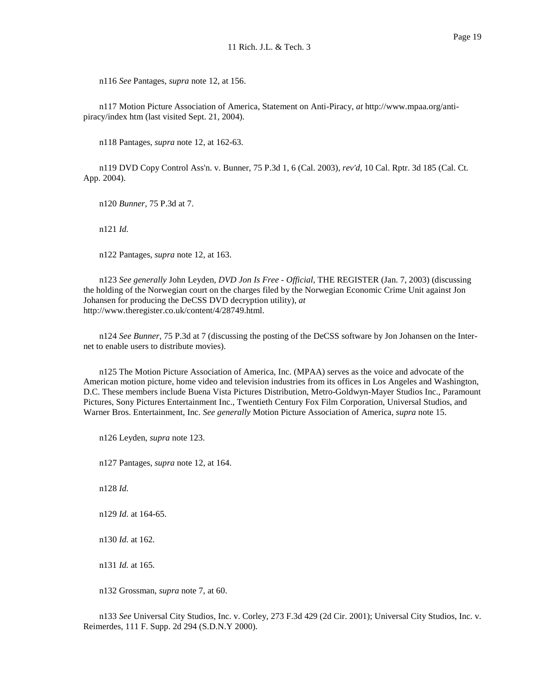n116 *See* Pantages, *supra* note 12, at 156.

 n117 Motion Picture Association of America, Statement on Anti-Piracy, *at* http://www.mpaa.org/anti-piracy/index htm (last visited Sept. 21, 2004).

n118 Pantages, *supra* note 12, at 162-63.

 n119 DVD Copy Control Ass'n. v. Bunner, 75 P.3d 1, 6 (Cal. 2003), *rev'd,* 10 Cal. Rptr. 3d 185 (Cal. Ct. App. 2004).

n120 *Bunner,* 75 P.3d at 7.

n121 *Id.* 

n122 Pantages, *supra* note 12, at 163.

 n123 *See generally* John Leyden, *DVD Jon Is Free - Official,* THE REGISTER (Jan. 7, 2003) (discussing the holding of the Norwegian court on the charges filed by the Norwegian Economic Crime Unit against Jon Johansen for producing the DeCSS DVD decryption utility), *at*  http://www.theregister.co.uk/content/4/28749.html.

 n124 *See Bunner,* 75 P.3d at 7 (discussing the posting of the DeCSS software by Jon Johansen on the Inter-net to enable users to distribute movies).

 n125 The Motion Picture Association of America, Inc. (MPAA) serves as the voice and advocate of the American motion picture, home video and television industries from its offices in Los Angeles and Washington, D.C. These members include Buena Vista Pictures Distribution, Metro-Goldwyn-Mayer Studios Inc., Paramount Pictures, Sony Pictures Entertainment Inc., Twentieth Century Fox Film Corporation, Universal Studios, and Warner Bros. Entertainment, Inc. *See generally* Motion Picture Association of America, *supra* note 15.

n126 Leyden, *supra* note 123.

n127 Pantages, *supra* note 12, at 164.

n128 *Id.* 

n129 *Id.* at 164-65.

n130 *Id.* at 162.

n131 *Id.* at 165.

n132 Grossman, *supra* note 7, at 60.

 n133 *See* Universal City Studios, Inc. v. Corley, 273 F.3d 429 (2d Cir. 2001); Universal City Studios, Inc. v. Reimerdes, 111 F. Supp. 2d 294 (S.D.N.Y 2000).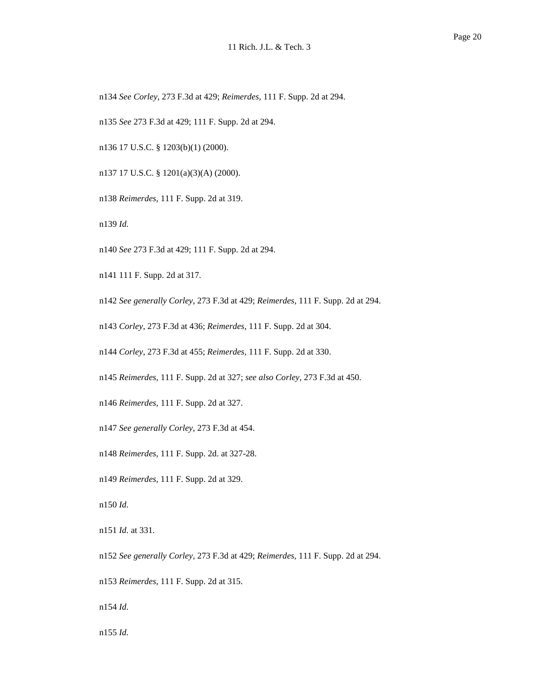n134 *See Corley,* 273 F.3d at 429; *Reimerdes,* 111 F. Supp. 2d at 294.

n135 *See* 273 F.3d at 429; 111 F. Supp. 2d at 294.

n136 17 U.S.C. § 1203(b)(1) (2000).

n137 17 U.S.C. § 1201(a)(3)(A) (2000).

n138 *Reimerdes,* 111 F. Supp. 2d at 319.

n139 *Id.* 

n140 *See* 273 F.3d at 429; 111 F. Supp. 2d at 294.

n141 111 F. Supp. 2d at 317.

 n142 *See generally Corley,* 273 F.3d at 429; *Reimerdes,* 111 F. Supp. 2d at 294.

n143 *Corley,* 273 F.3d at 436; *Reimerdes,* 111 F. Supp. 2d at 304.

n144 *Corley,* 273 F.3d at 455; *Reimerdes,* 111 F. Supp. 2d at 330.

n145 *Reimerdes,* 111 F. Supp. 2d at 327; *see also Corley,* 273 F.3d at 450.

n146 *Reimerdes,* 111 F. Supp. 2d at 327.

 n147 *See generally Corley,* 273 F.3d at 454.

n148 *Reimerdes,* 111 F. Supp. 2d. at 327-28.

n149 *Reimerdes,* 111 F. Supp. 2d at 329.

n150 *Id.* 

n151 *Id.* at 331.

 n152 *See generally Corley,* 273 F.3d at 429; *Reimerdes,* 111 F. Supp. 2d at 294.

n153 *Reimerdes,* 111 F. Supp. 2d at 315.

n154 *Id.* 

n155 *Id.*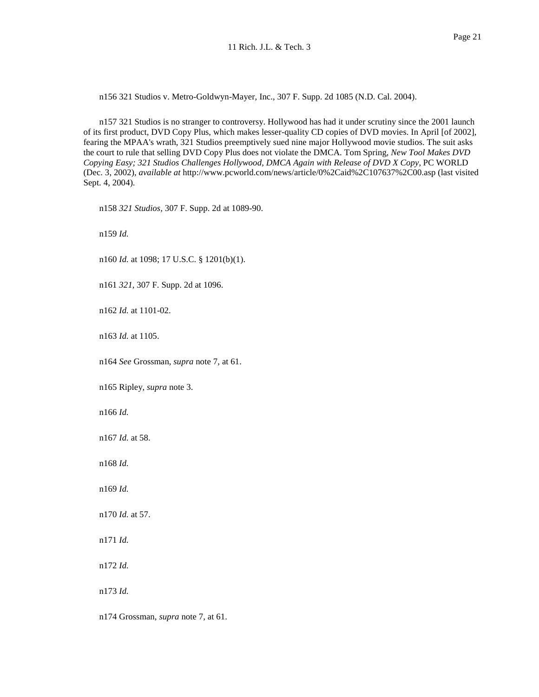n156 321 Studios v. Metro-Goldwyn-Mayer, Inc., 307 F. Supp. 2d 1085 (N.D. Cal. 2004).

 n157 321 Studios is no stranger to controversy. Hollywood has had it under scrutiny since the 2001 launch of its first product, DVD Copy Plus, which makes lesser-quality CD copies of DVD movies. In April [of 2002], fearing the MPAA's wrath, 321 Studios preemptively sued nine major Hollywood movie studios. The suit asks the court to rule that selling DVD Copy Plus does not violate the DMCA. Tom Spring, *New Tool Makes DVD Copying Easy; 321 Studios Challenges Hollywood, DMCA Again with Release of DVD X Copy,* PC WORLD (Dec. 3, 2002), *available at* http://www.pcworld.com/news/article/0%2Caid%2C107637%2C00.asp (last visited Sept. 4, 2004).

n158 *321 Studios,* 307 F. Supp. 2d at 1089-90.

n159 *Id.* 

n160 *Id.* at 1098; 17 U.S.C. § 1201(b)(1).

n161 *321,* 307 F. Supp. 2d at 1096.

n162 *Id.* at 1101-02.

n163 *Id.* at 1105.

n164 *See* Grossman, *supra* note 7, at 61.

n165 Ripley, *supra* note 3.

n166 *Id.* 

n167 *Id.* at 58.

n168 *Id.* 

n169 *Id.* 

n170 *Id.* at 57.

n171 *Id.* 

n172 *Id.* 

n173 *Id.* 

n174 Grossman, *supra* note 7, at 61.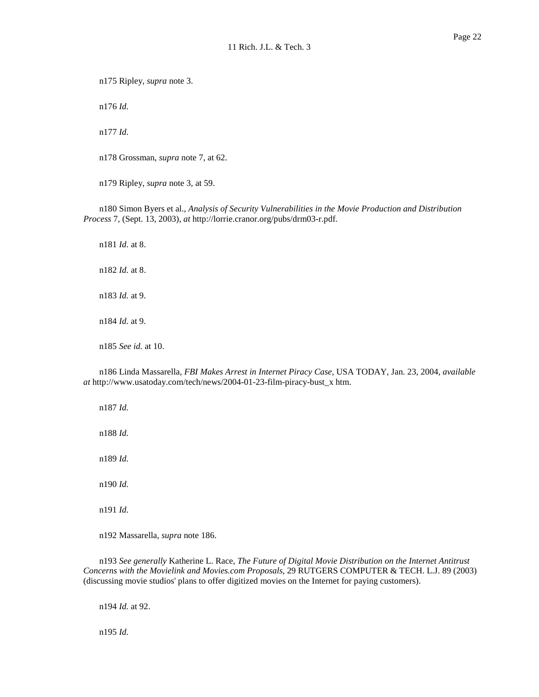n175 Ripley, *supra* note 3.

n176 *Id.* 

n177 *Id.* 

n178 Grossman, *supra* note 7, at 62.

n179 Ripley, *supra* note 3, at 59.

 n180 Simon Byers et al., *Analysis of Security Vulnerabilities in the Movie Production and Distribution Process* 7, (Sept. 13, 2003), *at* http://lorrie.cranor.org/pubs/drm03-r.pdf.

 n181 *Id.* at 8. n182 *Id.* at 8. n183 *Id.* at 9. n184 *Id.* at 9. n185 *See id.* at 10.

 n186 Linda Massarella, *FBI Makes Arrest in Internet Piracy Case,* USA TODAY, Jan. 23, 2004, *available at* http://www.usatoday.com/tech/news/2004-01-23-film-piracy-bust\_x htm.

n187 *Id.* 

n188 *Id.* 

n189 *Id.* 

n190 *Id.* 

n191 *Id.* 

n192 Massarella, *supra* note 186.

 n193 *See generally* Katherine L. Race, *The Future of Digital Movie Distribution on the Internet Antitrust Concerns with the Movielink and Movies.com Proposals,* 29 RUTGERS COMPUTER & TECH. L.J. 89 (2003) (discussing movie studios' plans to offer digitized movies on the Internet for paying customers).

n194 *Id.* at 92.

n195 *Id.*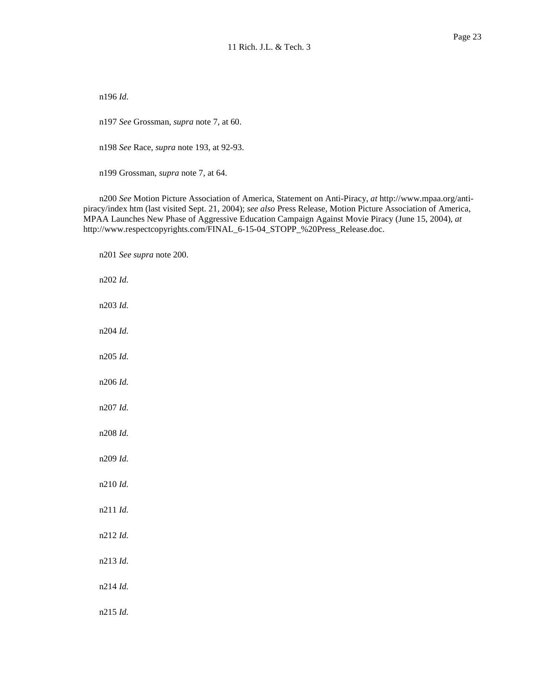n196 *Id.* 

n197 *See* Grossman, *supra* note 7, at 60.

n198 *See* Race, *supra* note 193, at 92-93.

n199 Grossman, *supra* note 7, at 64.

 n200 *See* Motion Picture Association of America, Statement on Anti-Piracy, *at* http://www.mpaa.org/anti- piracy/index htm (last visited Sept. 21, 2004); *see also* Press Release, Motion Picture Association of America, MPAA Launches New Phase of Aggressive Education Campaign Against Movie Piracy (June 15, 2004), *at*  http://www.respectcopyrights.com/FINAL\_6-15-04\_STOPP\_%20Press\_Release.doc.

 n201 *See supra* note 200. n202 *Id.*  n203 *Id.*  n204 *Id.*  n205 *Id.*  n206 *Id.*  n207 *Id.*  n208 *Id.*  n209 *Id.*  n210 *Id.*  n211 *Id.*  n212 *Id.*  n213 *Id.*  n214 *Id.*  n215 *Id.*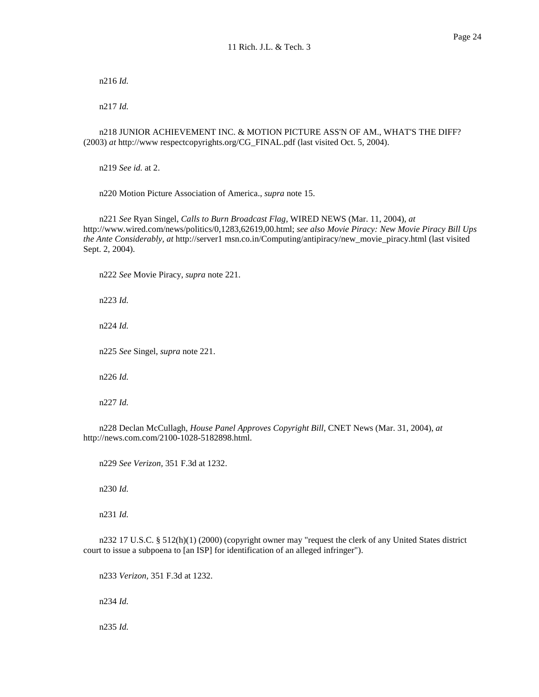n216 *Id.* 

n217 *Id.* 

 n218 JUNIOR ACHIEVEMENT INC. & MOTION PICTURE ASS'N OF AM., WHAT'S THE DIFF? (2003) *at* http://www respectcopyrights.org/CG\_FINAL.pdf (last visited Oct. 5, 2004).

n219 *See id.* at 2.

n220 Motion Picture Association of America., *supra* note 15.

 n221 *See* Ryan Singel, *Calls to Burn Broadcast Flag,* WIRED NEWS (Mar. 11, 2004), *at*  http://www.wired.com/news/politics/0,1283,62619,00.html; *see also Movie Piracy: New Movie Piracy Bill Ups the Ante Considerably, at* http://server1 msn.co.in/Computing/antipiracy/new\_movie\_piracy.html (last visited Sept. 2, 2004).

n222 *See* Movie Piracy, *supra* note 221.

n223 *Id.* 

n224 *Id.* 

n225 *See* Singel, *supra* note 221.

n226 *Id.* 

n227 *Id.* 

 n228 Declan McCullagh, *House Panel Approves Copyright Bill,* CNET News (Mar. 31, 2004), *at*  http://news.com.com/2100-1028-5182898.html.

n229 *See Verizon,* 351 F.3d at 1232.

n230 *Id.* 

n231 *Id.* 

 n232 17 U.S.C. § 512(h)(1) (2000) (copyright owner may "request the clerk of any United States district court to issue a subpoena to [an ISP] for identification of an alleged infringer").

n233 *Verizon,* 351 F.3d at 1232.

n234 *Id.* 

n235 *Id.*